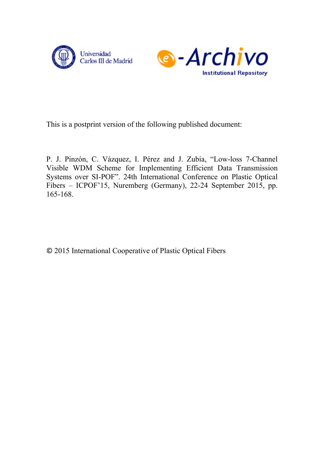



This is a postprint version of the following published document:

P. J. Pinzón, C. Vázquez, I. Pérez and J. Zubia, "Low-loss 7-Channel Visible WDM Scheme for Implementing Efficient Data Transmission Systems over SI-POF". 24th International Conference on Plastic Optical Fibers – ICPOF'15, Nuremberg (Germany), 22-24 September 2015, pp. 165-168.

© 2015 International Cooperative of Plastic Optical Fibers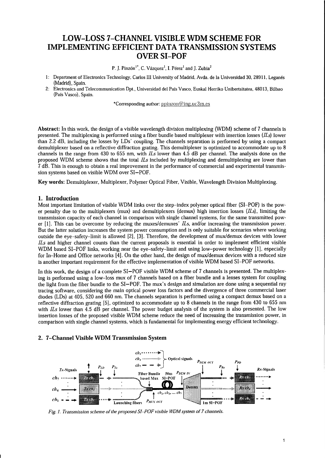# **LOW-LOSS 7-CHANNEL VISIBLE WDM SCHEME FOR IMPLEMENTING EFFICIENT DATA TRANSMISSION SYSTEMS OVERSI-POF**

P. J. Pinzón<sup>1\*</sup>, C. Vázquez<sup>1</sup>, I. Pérez<sup>1</sup> and J. Zubia<sup>2</sup>

- 1: Department of Electronics Technology, Carlos III University of Madrid, Avda. de la Universidad 30, 28911, Leganes (Madrid), Spain.
- 2: Electronics and Telecommunication Dpt., Universidad de! Pais Vasco, Euskal Herriko Unibertsitatea, 48013, Bilbao (Pais Vasco), Spain.

\*Corresponding author: ppinzon@ing.uc3m.es

**Abstract:** In this work, the design of a visible wavelength division multiplexing (WDM) scheme of 7 channels is presented. The multiplexing is performed using a fiber bundle based multiplexer with insertion losses *(!Ls)* lower than 2.2 dB, including the losses by LDs' coupling. The channels separation is performed by using a compact demultiplexer based on a reflective diffraction grating. This demultiplexer is optimized to accommodate up to 8 channels in the range from 430 to 655 nm, with *ILs* lower than 4.5 dB per channel. The analysis done on the proposed WDM scheme shows that the total *!Ls* included by multiplexing and demultiplexing are lower than 7 dB. This is enough to obtain a real improvement in the performance of commercial and experimental transmission systems based on visible WDM over SI-POF.

**Key words:** Demultiplexer, Multiplexer, Polymer Optical Fiber, Visible, Wavelength Division Multiplexing.

#### **1. Introduction**

Most important limitation of visible WDM links over the step-index polymer optical fiber (SI-POF) is the power penalty due to the multiplexers (mux) and demultiplexers (demux) high insertion losses *(!Ls),* limiting the transmission capacity of each channel in comparison with single channel systems, for the same transmitted power [1]. This can be overcome by reducing the muxes/demuxes' *!Ls,* and/or increasing the transmission power. But the latter solution increases the system power consumption and is only suitable for scenarios where working outside the eye-safety-limit is allowed [2], [3]. Therefore, the development of mux/demux devices with lower *!Ls* and higher channel counts than the current proposals is essential in order to implement efficient visible WDM based SI-POF links, working near the eye-safety-limit and using low-power technology [1], especially for In-Home and Office networks [4]. On the other hand, the design of mux/demux devices with a reduced size is another important requirement for the effective implementation of visible WDM based SI-POF networks.

In this work, the design of a complete SI-POF visible WDM scheme of 7 channels is presented. The multiplexing is performed using a low-loss mux of 7 channels based on a fiber bundle and a lenses system for coupling the light from the fiber bundle to the SI-POF. The mux's design and simulation are done using a sequential ray tracing software, considering the main optical power loss factors and the divergence of three commercial laser diodes (LDs) at 405, 520 and 660 nm. The channels separation is performed using a compact demux based on a reflective diffraction grating [5]. optimized to accommodate up to 8 channels in the range from 430 to 655 nm with *ILs* lower than 4.5 dB per channel. The power budget analysis of the system is also presented. The low insertion losses of the proposed visible WDM scheme reduce the need of increasing the transmission power, in comparison with single channel systems, which is fundamental for implementing energy efficient technology.

# **2. 7-Channel Visible WDM Transmission System**



*Fig. l. Transmission scheme of the proposed SI-POF visible WDM system of 7 channels.*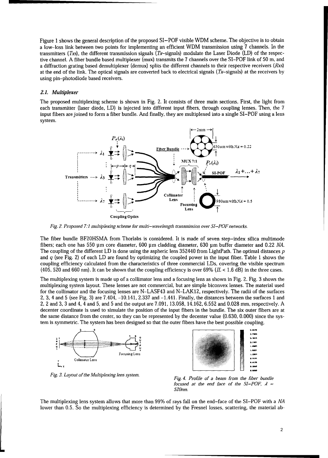Figure 1 shows the general description of the proposed SI-POF visible WDM scheme. The objective is to obtain a low-loss link between two points for implementing an efficient WDM transmission using 7 channels. In the transmitters *(Txs),* the different transmission signals (Tx-signals) modulate the Laser Diode (LD) of the respective channel. A fiber bundle based multiplexer (mux) transmits the 7 channels over the SI-POF link of 50 m, and a diffraction grating based demultiplexer (demux) splits the different channels to their respective receivers *(Rxs)*  at the end of the link. The optical signals are converted back to electrical signals ( $Tx$ -signals) at the receivers by using pin-photodiode based receivers.

#### *2.1. Multiplexer*

The proposed multiplexing scheme is shown in Fig. 2. It consists of three main sections. First, the light from each transmitter (laser diode, LD) is injected into different input fibers, through coupling lenses. Then, the 7 input fibers are joined to form a fiber bundle. And finally, they are multiplexed into a single SI-POF using a lens system.



*Fig. 2. Proposed 7:1 multiplexing scheme for multi-wavelength transmission over SI-POF networks.* 

The fiber bundle BF20HSMA from Thorlabs is considered. It is made of seven step-index silica multimode fibers; each one has 550 µm core diameter, 600 µm cladding diameter, 630 µm buffer diameter and 0.22 *NA.*  The coupling of the different LD is done using the aspheric lens 352440 from LightPath. The optimal distances *p*  and *q* (see Fig. 2) of each LD are found by optimizing the coupled power in the input fiber. Table 1 shows the coupling efficiency calculated from the characteristics of three commercial LDs, covering the visible spectrum (405, 520 and 660 nm). It can be shown that the coupling efficiency is over 69% ( $IL < 1.6$  dB) in the three cases.

The multiplexing system is made up of a collimator lens and a focusing lens as shown in Fig. 2. Fig. 3 shows the multiplexing system layout. These lenses are not commercial, but are simple biconvex lenses. The material used for the collimator and the focusing lenses are N-LASF43 and N-LAK12, respectively. The radii of the surfaces 2, 3, 4 and 5 (see Fig. 3) are 7.404, -10.141, 2.337 and -1.441. Finally, the distances between the surfaces 1 and 2, 2 and 3, 3 and 4, 4 and 5, and 5 and the output are 7.091, 13.058, 14.162, 6.552 and 0.028 mm, respectively. A decenter coordinate is used to simulate the position of the input fibers in the bundle. The six outer fibers are at the same distance from the center, so they can be represented by the decenter value (0.630, 0.000) since the system is symmetric. The system has been designed so that the outer fibers have the best possible coupling.



*Fig. 3. Layout of the Multiplexing lens system.* 



*Fig. 4. Profile of a beam from the fiber bundle focused at the end face of the SI-POF,*  $\lambda$  *= 520nm.* 

The multiplexing lens system allows that more than 99% of rays fall on the end-face of the SI-POF with a *NA*  lower than 0.5. So the multiplexing efficiency is determined by the Fresnel losses, scattering, the material ab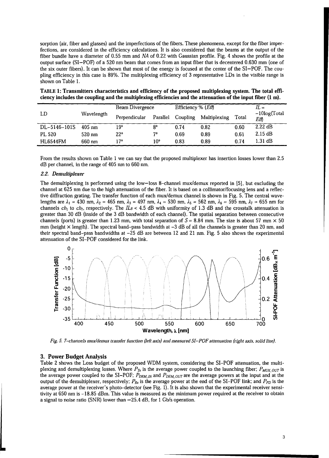sorption (air, fiber and glasses) and the imperfections of the fibers. These phenomena, except for the fiber imperfections, are considered in the efficiency calculations. It is also considered that the beams at the output of the fiber bundle have a diameter of 0.55 mm and *NA* of 0.22 with Gaussian profile. Fig. 4 shows the profile at the output surface (SI-POF) of a 520 nm beam that comes from an input fiber that is decentered 0.630 mm (one of the six outer fibers). It can be shown that most of the energy is focused at the center of the SI-POF. The coupling efficiency in this case is 89%. The multiplexing efficiency of 3 representative LDs in the visible range is shown on Table l.

| ciency includes the coupling and the multiplexing efficiencies and the attenuation of the input fiber (1 m). |            |                        |          |                               |                       |       |                         |  |  |  |  |  |
|--------------------------------------------------------------------------------------------------------------|------------|------------------------|----------|-------------------------------|-----------------------|-------|-------------------------|--|--|--|--|--|
| -LD                                                                                                          | Wavelength | <b>Beam Divergence</b> |          | Efficiency $%$ ( <i>Eff</i> ) |                       | $H =$ |                         |  |  |  |  |  |
|                                                                                                              |            | Perpendicular          | Parallel |                               | Coupling Multiplexing | Total | $-10\log(Tot$ al<br>Efħ |  |  |  |  |  |
| DL-5146-101S                                                                                                 | 405 nm     | 19°                    | Q٥       | 0.74                          | 0.82                  | 0.60  | $2.22 \text{ dB}$       |  |  |  |  |  |

PL 520  $\rm{520\;mm}$  520 nm  $\rm{22^o}$   $\rm{7^o}$  0.69  $\rm{0.89}$  0.89  $\rm{0.61}$  2.15 dB HL6544FM 660nm 17° 10" 0.83 0.89 0.74 1.31 dB

TABLE 1: Transmitters characteristics and efficiency of the proposed multiplexing system. The total efficiency includes the coupling and the multiplexing efficiencies and the attenuation of the input fiber (1 m).

From the results shown on Table 1 we can say that the proposed multiplexer has insertion losses lower than 2.5 dB per channel, in the range of 405 nm to 660 nm.

#### *2.2. Demultiplexer*

The demultiplexing is performed using the low-loss 8-channel mux/demux reported in [5), but excluding the channel at 625 nm due to the high attenuation of the fiber. It is based on a collimator/focusing lens and a reflective diffraction grating. The transfer function of each mux/demux channel is shown in Fig. 5. The central wavelengths are  $\lambda_1 = 430$  nm,  $\lambda_2 = 465$  nm,  $\lambda_3 = 497$  nm,  $\lambda_4 = 530$  nm,  $\lambda_5 = 562$  nm,  $\lambda_6 = 595$  nm,  $\lambda_7 = 655$  nm for channels  $ch_1$  to  $ch_7$ , respectively. The  $\overline{Ls}$  < 4.5 dB with uniformity of 1.3 dB and the crosstalk attenuation is greater than 30 dB (inside of the 3 dB bandwidth of each channel). The spatial separation between consecutive channels (ports) is greater than 1.23 mm, with total separation of  $S = 8.84$  mm. The size is about 57 mm  $\times$  50 mm (height  $\times$  length). The spectral band-pass bandwidth at  $-3$  dB of all the channels is greater than 20 nm, and their spectral band-pass bandwidths at -25 dB are between 12 and 21 nm. Fig. 5 also shows the experimental attenuation of the SI-POF considered for the link.



*Fig. 5. 7-channels muxldemux transfer function (left axis} and measured Sl-POF attenuation (right axis, solid line}.* 

#### 3. Power Budget Analysis

Table 2 shows the Loss budget of the proposed WDM system, considering the SI-POF attenuation, the multiplexing and demultiplexing losses. Where  $P_{Tx}$  is the average power coupled to the launching fiber;  $P_{MUX\_OUT}$  is the average power coupled to the SI-POF;  $P_{DEM\_IN}$  and  $P_{DEM\_OUT}$  are the average powers at the input and at the output of the demultiplexer, respectively;  $P_{Rx}$  is the average power at the end of the SI-POF link; and  $P_{PD}$  is the average power at the receiver's photo-detector (see Fig. l}. It is also shown that the experimental receiver sensitivity at 650 nm is -18.85 dBm. This value is measured as the minimum power required at the receiver to obtain a signal to noise ratio (SNR) lower than  $-25.4$  dB, for 1 Gb/s operation.